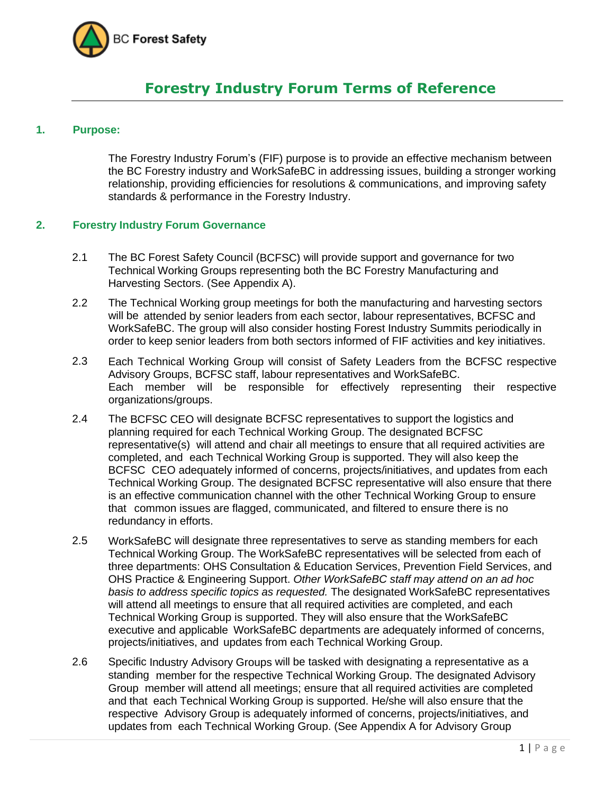

### **Forestry Industry Forum Terms of Reference**

### **1. Purpose:**

The Forestry Industry Forum's (FIF) purpose is to provide an effective mechanism between the BC Forestry industry and WorkSafeBC in addressing issues, building a stronger working relationship, providing efficiencies for resolutions & communications, and improving safety standards & performance in the Forestry Industry.

#### **2. Forestry Industry Forum Governance**

- 2.1 The BC Forest Safety Council (BCFSC) will provide support and governance for two Technical Working Groups representing both the BC Forestry Manufacturing and Harvesting Sectors. (See Appendix A).
- 2.2 The Technical Working group meetings for both the manufacturing and harvesting sectors will be attended by senior leaders from each sector, labour representatives, BCFSC and WorkSafeBC. The group will also consider hosting Forest Industry Summits periodically in order to keep senior leaders from both sectors informed of FIF activities and key initiatives.
- 2.3 Each Technical Working Group will consist of Safety Leaders from the BCFSC respective Advisory Groups, BCFSC staff, labour representatives and WorkSafeBC. Each member will be responsible for effectively representing their respective organizations/groups.
- 2.4 The BCFSC CEO will designate BCFSC representatives to support the logistics and planning required for each Technical Working Group. The designated BCFSC representative(s) will attend and chair all meetings to ensure that all required activities are completed, and each Technical Working Group is supported. They will also keep the BCFSC CEO adequately informed of concerns, projects/initiatives, and updates from each Technical Working Group. The designated BCFSC representative will also ensure that there is an effective communication channel with the other Technical Working Group to ensure that common issues are flagged, communicated, and filtered to ensure there is no redundancy in efforts.
- 2.5 WorkSafeBC will designate three representatives to serve as standing members for each Technical Working Group. The WorkSafeBC representatives will be selected from each of three departments: OHS Consultation & Education Services, Prevention Field Services, and OHS Practice & Engineering Support. *Other WorkSafeBC staff may attend on an ad hoc basis to address specific topics as requested.* The designated WorkSafeBC representatives will attend all meetings to ensure that all required activities are completed, and each Technical Working Group is supported. They will also ensure that the WorkSafeBC executive and applicable WorkSafeBC departments are adequately informed of concerns, projects/initiatives, and updates from each Technical Working Group.
- 2.6 Specific Industry Advisory Groups will be tasked with designating a representative as a standing member for the respective Technical Working Group. The designated Advisory Group member will attend all meetings; ensure that all required activities are completed and that each Technical Working Group is supported. He/she will also ensure that the respective Advisory Group is adequately informed of concerns, projects/initiatives, and updates from each Technical Working Group. (See Appendix A for Advisory Group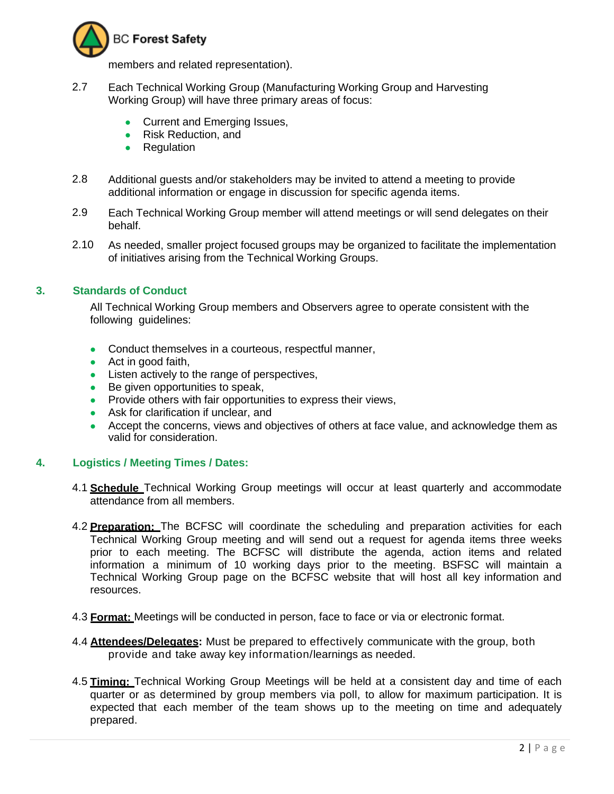

members and related representation).

- 2.7 Each Technical Working Group (Manufacturing Working Group and Harvesting Working Group) will have three primary areas of focus:
	- Current and Emerging Issues,
	- Risk Reduction, and
	- Regulation
- 2.8 Additional guests and/or stakeholders may be invited to attend a meeting to provide additional information or engage in discussion for specific agenda items.
- 2.9 Each Technical Working Group member will attend meetings or will send delegates on their behalf.
- 2.10 As needed, smaller project focused groups may be organized to facilitate the implementation of initiatives arising from the Technical Working Groups.

#### **3. Standards of Conduct**

All Technical Working Group members and Observers agree to operate consistent with the following guidelines:

- Conduct themselves in a courteous, respectful manner,
- Act in good faith,
- Listen actively to the range of perspectives,
- Be given opportunities to speak,
- Provide others with fair opportunities to express their views,
- Ask for clarification if unclear, and
- Accept the concerns, views and objectives of others at face value, and acknowledge them as valid for consideration.

### **4. Logistics / Meeting Times / Dates:**

- 4.1 **Schedule** Technical Working Group meetings will occur at least quarterly and accommodate attendance from all members.
- 4.2 **Preparation:** The BCFSC will coordinate the scheduling and preparation activities for each Technical Working Group meeting and will send out a request for agenda items three weeks prior to each meeting. The BCFSC will distribute the agenda, action items and related information a minimum of 10 working days prior to the meeting. BSFSC will maintain a Technical Working Group page on the BCFSC website that will host all key information and resources.
- 4.3 **Format:** Meetings will be conducted in person, face to face or via or electronic format.
- 4.4 **Attendees/Delegates:** Must be prepared to effectively communicate with the group, both provide and take away key information/learnings as needed.
- 4.5 **Timing:** Technical Working Group Meetings will be held at a consistent day and time of each quarter or as determined by group members via poll, to allow for maximum participation. It is expected that each member of the team shows up to the meeting on time and adequately prepared.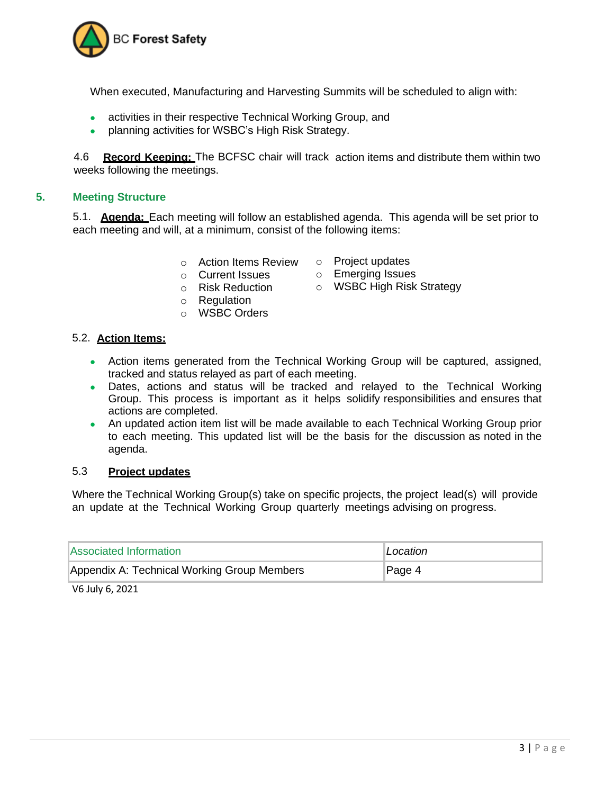

When executed, Manufacturing and Harvesting Summits will be scheduled to align with:

- activities in their respective Technical Working Group, and
- planning activities for WSBC's High Risk Strategy.

4.6 **Record Keeping:** The BCFSC chair will track action items and distribute them within two weeks following the meetings.

#### **5. Meeting Structure**

5.1. **Agenda:** Each meeting will follow an established agenda. This agenda will be set prior to each meeting and will, at a minimum, consist of the following items:

- o Action Items Review o Project updates
	- o Emerging Issues

o WSBC High Risk Strategy

- o Current Issues
- o Risk Reduction
- o Regulation
- o WSBC Orders
- 5.2. **Action Items:**
	- Action items generated from the Technical Working Group will be captured, assigned, tracked and status relayed as part of each meeting.
	- Dates, actions and status will be tracked and relayed to the Technical Working Group. This process is important as it helps solidify responsibilities and ensures that actions are completed.
	- An updated action item list will be made available to each Technical Working Group prior to each meeting. This updated list will be the basis for the discussion as noted in the agenda.

#### 5.3 **Project updates**

Where the Technical Working Group(s) take on specific projects, the project lead(s) will provide an update at the Technical Working Group quarterly meetings advising on progress.

| Associated Information                      | <i><u><b>Location</b></u></i> |
|---------------------------------------------|-------------------------------|
| Appendix A: Technical Working Group Members | Page 4                        |

V6 July 6, 2021